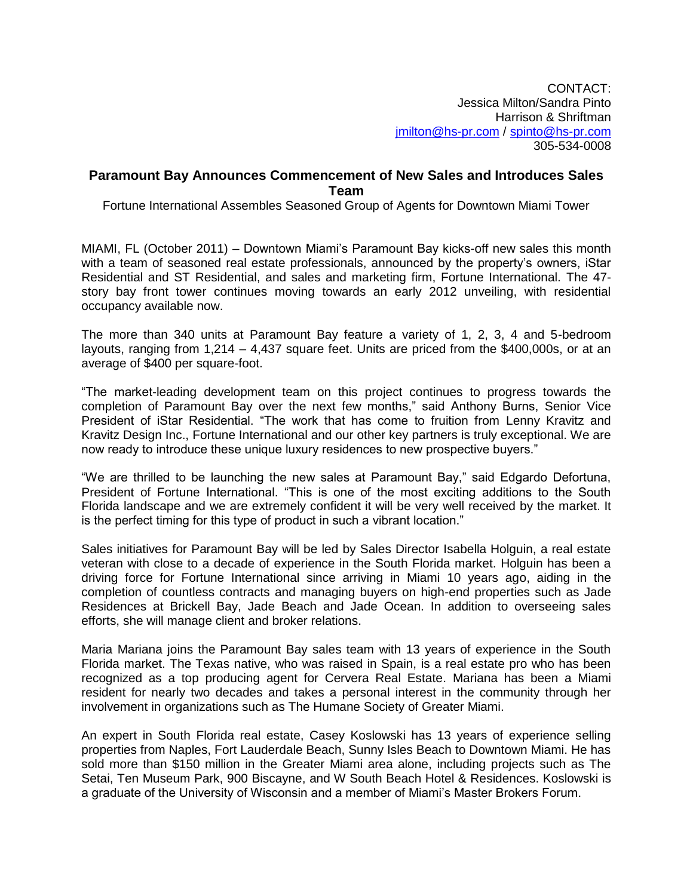CONTACT: Jessica Milton/Sandra Pinto Harrison & Shriftman [jmilton@hs-pr.com](mailto:jmilton@hs-pr.com) / [spinto@hs-pr.com](mailto:spinto@hs-pr.com) 305-534-0008

## **Paramount Bay Announces Commencement of New Sales and Introduces Sales Team**

Fortune International Assembles Seasoned Group of Agents for Downtown Miami Tower

MIAMI, FL (October 2011) – Downtown Miami's Paramount Bay kicks-off new sales this month with a team of seasoned real estate professionals, announced by the property's owners, iStar Residential and ST Residential, and sales and marketing firm, Fortune International. The 47 story bay front tower continues moving towards an early 2012 unveiling, with residential occupancy available now.

The more than 340 units at Paramount Bay feature a variety of 1, 2, 3, 4 and 5-bedroom layouts, ranging from 1,214 – 4,437 square feet. Units are priced from the \$400,000s, or at an average of \$400 per square-foot.

"The market-leading development team on this project continues to progress towards the completion of Paramount Bay over the next few months," said Anthony Burns, Senior Vice President of iStar Residential. "The work that has come to fruition from Lenny Kravitz and Kravitz Design Inc., Fortune International and our other key partners is truly exceptional. We are now ready to introduce these unique luxury residences to new prospective buyers."

"We are thrilled to be launching the new sales at Paramount Bay," said Edgardo Defortuna, President of Fortune International. "This is one of the most exciting additions to the South Florida landscape and we are extremely confident it will be very well received by the market. It is the perfect timing for this type of product in such a vibrant location."

Sales initiatives for Paramount Bay will be led by Sales Director Isabella Holguin, a real estate veteran with close to a decade of experience in the South Florida market. Holguin has been a driving force for Fortune International since arriving in Miami 10 years ago, aiding in the completion of countless contracts and managing buyers on high-end properties such as Jade Residences at Brickell Bay, Jade Beach and Jade Ocean. In addition to overseeing sales efforts, she will manage client and broker relations.

Maria Mariana joins the Paramount Bay sales team with 13 years of experience in the South Florida market. The Texas native, who was raised in Spain, is a real estate pro who has been recognized as a top producing agent for Cervera Real Estate. Mariana has been a Miami resident for nearly two decades and takes a personal interest in the community through her involvement in organizations such as The Humane Society of Greater Miami.

An expert in South Florida real estate, Casey Koslowski has 13 years of experience selling properties from Naples, Fort Lauderdale Beach, Sunny Isles Beach to Downtown Miami. He has sold more than \$150 million in the Greater Miami area alone, including projects such as The Setai, Ten Museum Park, 900 Biscayne, and W South Beach Hotel & Residences. Koslowski is a graduate of the University of Wisconsin and a member of Miami's Master Brokers Forum.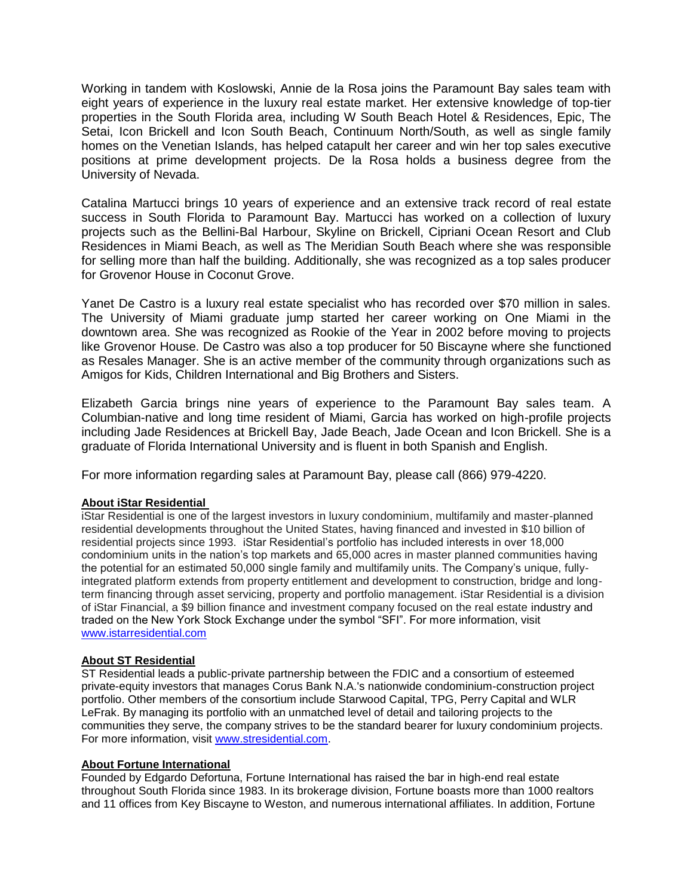Working in tandem with Koslowski, Annie de la Rosa joins the Paramount Bay sales team with eight years of experience in the luxury real estate market. Her extensive knowledge of top-tier properties in the South Florida area, including W South Beach Hotel & Residences, Epic, The Setai, Icon Brickell and Icon South Beach, Continuum North/South, as well as single family homes on the Venetian Islands, has helped catapult her career and win her top sales executive positions at prime development projects. De la Rosa holds a business degree from the University of Nevada.

Catalina Martucci brings 10 years of experience and an extensive track record of real estate success in South Florida to Paramount Bay. Martucci has worked on a collection of luxury projects such as the Bellini-Bal Harbour, Skyline on Brickell, Cipriani Ocean Resort and Club Residences in Miami Beach, as well as The Meridian South Beach where she was responsible for selling more than half the building. Additionally, she was recognized as a top sales producer for Grovenor House in Coconut Grove.

Yanet De Castro is a luxury real estate specialist who has recorded over \$70 million in sales. The University of Miami graduate jump started her career working on One Miami in the downtown area. She was recognized as Rookie of the Year in 2002 before moving to projects like Grovenor House. De Castro was also a top producer for 50 Biscayne where she functioned as Resales Manager. She is an active member of the community through organizations such as Amigos for Kids, Children International and Big Brothers and Sisters.

Elizabeth Garcia brings nine years of experience to the Paramount Bay sales team. A Columbian-native and long time resident of Miami, Garcia has worked on high-profile projects including Jade Residences at Brickell Bay, Jade Beach, Jade Ocean and Icon Brickell. She is a graduate of Florida International University and is fluent in both Spanish and English.

For more information regarding sales at Paramount Bay, please call (866) 979-4220.

## **About iStar Residential**

iStar Residential is one of the largest investors in luxury condominium, multifamily and master-planned residential developments throughout the United States, having financed and invested in \$10 billion of residential projects since 1993. iStar Residential's portfolio has included interests in over 18,000 condominium units in the nation's top markets and 65,000 acres in master planned communities having the potential for an estimated 50,000 single family and multifamily units. The Company's unique, fullyintegrated platform extends from property entitlement and development to construction, bridge and longterm financing through asset servicing, property and portfolio management. iStar Residential is a division of iStar Financial, a \$9 billion finance and investment company focused on the real estate industry and traded on the New York Stock Exchange under the symbol "SFI". For more information, visit [www.istarresidential.com](http://www.istarresidential.com/)

## **About ST Residential**

ST Residential leads a public-private partnership between the FDIC and a consortium of esteemed private-equity investors that manages Corus Bank N.A.'s nationwide condominium-construction project portfolio. Other members of the consortium include Starwood Capital, TPG, Perry Capital and WLR LeFrak. By managing its portfolio with an unmatched level of detail and tailoring projects to the communities they serve, the company strives to be the standard bearer for luxury condominium projects. For more information, visit [www.stresidential.com.](http://www.stresidential.com/)

## **About Fortune International**

Founded by Edgardo Defortuna, Fortune International has raised the bar in high-end real estate throughout South Florida since 1983. In its brokerage division, Fortune boasts more than 1000 realtors and 11 offices from Key Biscayne to Weston, and numerous international affiliates. In addition, Fortune